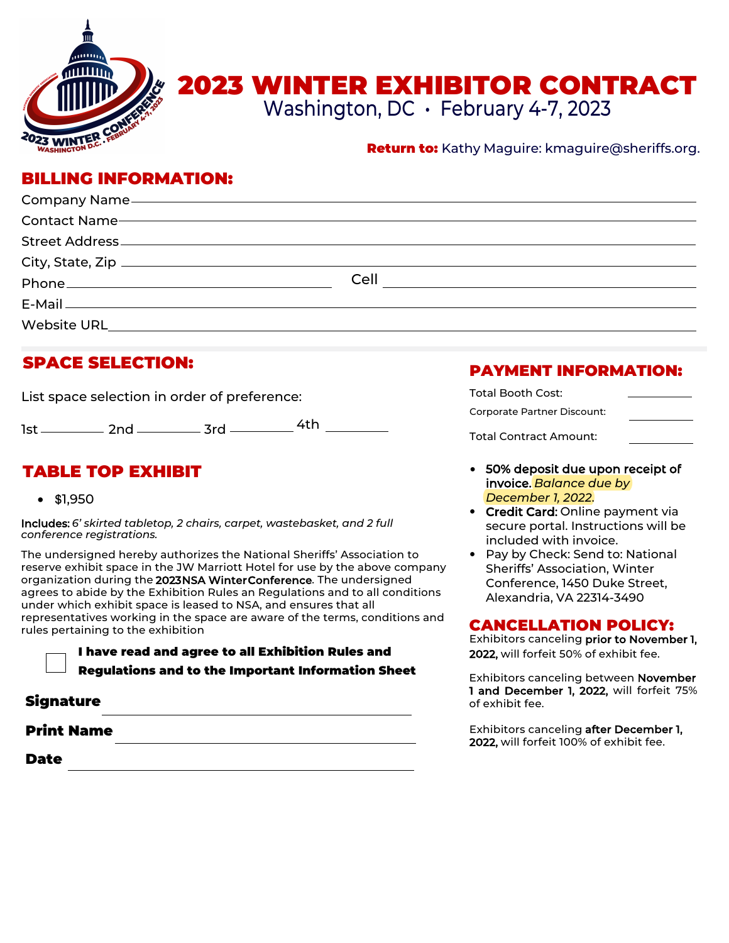

# 2023 WINTER EXHIBITOR CONTRACT

Washington, DC • February 4-7, 2023

### **Return to:** Kathy Maguire: kmaguire@sheriffs.org.

# BILLING INFORMATION:

|             | Cell |
|-------------|------|
|             |      |
| Website URL |      |

# SPACE SELECTION:

List space selection in order of preference:

1st \_\_\_\_\_\_\_\_\_\_\_ 2nd \_\_\_\_\_\_\_\_\_\_ 3rd \_\_\_\_\_\_\_\_\_\_ <sup>4th</sup>

# TABLE TOP EXHIBIT

• \$1,950

Includes: *6' skirted tabletop, 2 chairs, carpet, wastebasket, and 2 full conference registrations.*

The undersigned hereby authorizes the National Sheriffs' Association to reserve exhibit space in the JW Marriott Hotel for use by the above company organization during the 2023NSA Winter Conference. The undersigned agrees to abide by the Exhibition Rules an Regulations and to all conditions under which exhibit space is leased to NSA, and ensures that all representatives working in the space are aware of the terms, conditions and rules pertaining to the exhibition

> I have read and agree to all Exhibition Rules and Regulations and to the Important Information Sheet

## Signature

### Print Name

Date

# PAYMENT INFORMATION:

| Total Booth Cost:           |  |
|-----------------------------|--|
| Corporate Partner Discount: |  |
| Total Contract Amount:      |  |

- 50% deposit due upon receipt of invoice. *Balance due by December 1, 2022*.
- **Credit Card: Online payment via** secure portal. Instructions will be included with invoice.
- Pay by Check: Send to: National Sheriffs' Association, Winter Conference, 1450 Duke Street, Alexandria, VA 22314-3490

## CANCELLATION POLICY:

Exhibitors canceling prior to November 1, 2022, will forfeit 50% of exhibit fee.

Exhibitors canceling between November 1 and December 1, 2022, will forfeit 75% of exhibit fee.

Exhibitors canceling after December 1, 2022, will forfeit 100% of exhibit fee.